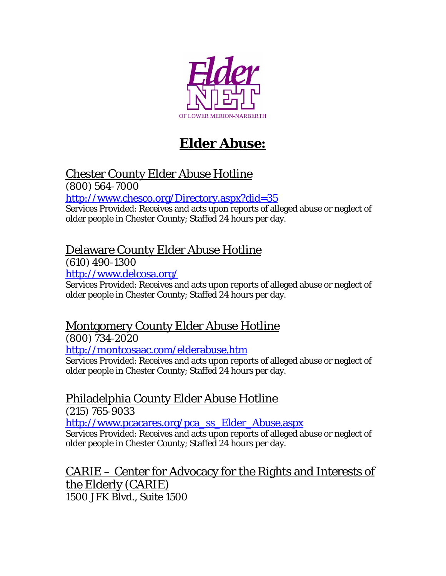

# **Elder Abuse:**

### Chester County Elder Abuse Hotline

(800) 564-7000

<http://www.chesco.org/Directory.aspx?did=35>

Services Provided: Receives and acts upon reports of alleged abuse or neglect of older people in Chester County; Staffed 24 hours per day.

### Delaware County Elder Abuse Hotline

(610) 490-1300

<http://www.delcosa.org/>

Services Provided: Receives and acts upon reports of alleged abuse or neglect of older people in Chester County; Staffed 24 hours per day.

## Montgomery County Elder Abuse Hotline

(800) 734-2020

<http://montcosaac.com/elderabuse.htm>

Services Provided: Receives and acts upon reports of alleged abuse or neglect of older people in Chester County; Staffed 24 hours per day.

### Philadelphia County Elder Abuse Hotline

(215) 765-9033

[http://www.pcacares.org/pca\\_ss\\_Elder\\_Abuse.aspx](http://www.pcacares.org/pca_ss_Elder_Abuse.aspx)

Services Provided: Receives and acts upon reports of alleged abuse or neglect of older people in Chester County; Staffed 24 hours per day.

CARIE – Center for Advocacy for the Rights and Interests of the Elderly (CARIE) 1500 JFK Blvd., Suite 1500